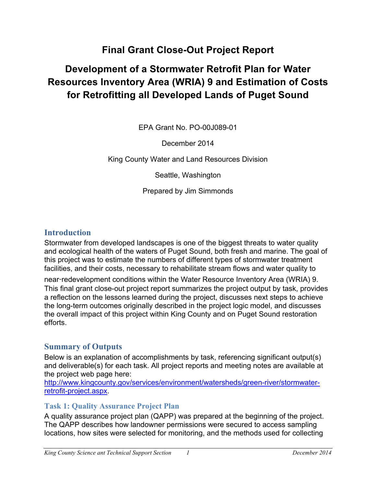# **Final Grant Close-Out Project Report**

# **Development of a Stormwater Retrofit Plan for Water Resources Inventory Area (WRIA) 9 and Estimation of Costs for Retrofitting all Developed Lands of Puget Sound**

EPA Grant No. PO-00J089-01

December 2014

King County Water and Land Resources Division

Seattle, Washington

Prepared by Jim Simmonds

## **Introduction**

Stormwater from developed landscapes is one of the biggest threats to water quality and ecological health of the waters of Puget Sound, both fresh and marine. The goal of this project was to estimate the numbers of different types of stormwater treatment facilities, and their costs, necessary to rehabilitate stream flows and water quality to

near-redevelopment conditions within the Water Resource Inventory Area (WRIA) 9. This final grant close-out project report summarizes the project output by task, provides a reflection on the lessons learned during the project, discusses next steps to achieve the long-term outcomes originally described in the project logic model, and discusses the overall impact of this project within King County and on Puget Sound restoration efforts.

## **Summary of Outputs**

Below is an explanation of accomplishments by task, referencing significant output(s) and deliverable(s) for each task. All project reports and meeting notes are available at the project web page here:

http://www.kingcounty.gov/services/environment/watersheds/green-river/stormwaterretrofit-project.aspx.

### **Task 1: Quality Assurance Project Plan**

A quality assurance project plan (QAPP) was prepared at the beginning of the project. The QAPP describes how landowner permissions were secured to access sampling locations, how sites were selected for monitoring, and the methods used for collecting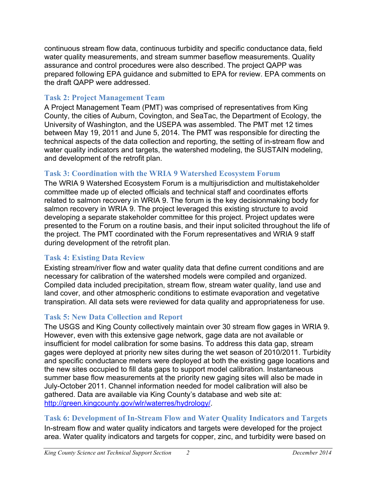continuous stream flow data, continuous turbidity and specific conductance data, field water quality measurements, and stream summer baseflow measurements. Quality assurance and control procedures were also described. The project QAPP was prepared following EPA guidance and submitted to EPA for review. EPA comments on the draft QAPP were addressed.

#### **Task 2: Project Management Team**

A Project Management Team (PMT) was comprised of representatives from King County, the cities of Auburn, Covington, and SeaTac, the Department of Ecology, the University of Washington, and the USEPA was assembled. The PMT met 12 times between May 19, 2011 and June 5, 2014. The PMT was responsible for directing the technical aspects of the data collection and reporting, the setting of in-stream flow and water quality indicators and targets, the watershed modeling, the SUSTAIN modeling, and development of the retrofit plan.

## **Task 3: Coordination with the WRIA 9 Watershed Ecosystem Forum**

The WRIA 9 Watershed Ecosystem Forum is a multijurisdiction and multistakeholder committee made up of elected officials and technical staff and coordinates efforts related to salmon recovery in WRIA 9. The forum is the key decisionmaking body for salmon recovery in WRIA 9. The project leveraged this existing structure to avoid developing a separate stakeholder committee for this project. Project updates were presented to the Forum on a routine basis, and their input solicited throughout the life of the project. The PMT coordinated with the Forum representatives and WRIA 9 staff during development of the retrofit plan.

### **Task 4: Existing Data Review**

Existing stream/river flow and water quality data that define current conditions and are necessary for calibration of the watershed models were compiled and organized. Compiled data included precipitation, stream flow, stream water quality, land use and land cover, and other atmospheric conditions to estimate evaporation and vegetative transpiration. All data sets were reviewed for data quality and appropriateness for use.

### **Task 5: New Data Collection and Report**

The USGS and King County collectively maintain over 30 stream flow gages in WRIA 9. However, even with this extensive gage network, gage data are not available or insufficient for model calibration for some basins. To address this data gap, stream gages were deployed at priority new sites during the wet season of 2010/2011. Turbidity and specific conductance meters were deployed at both the existing gage locations and the new sites occupied to fill data gaps to support model calibration. Instantaneous summer base flow measurements at the priority new gaging sites will also be made in July-October 2011. Channel information needed for model calibration will also be gathered. Data are available via King County's database and web site at: http://green.kingcounty.gov/wlr/waterres/hydrology/.

**Task 6: Development of In-Stream Flow and Water Quality Indicators and Targets**

In-stream flow and water quality indicators and targets were developed for the project area. Water quality indicators and targets for copper, zinc, and turbidity were based on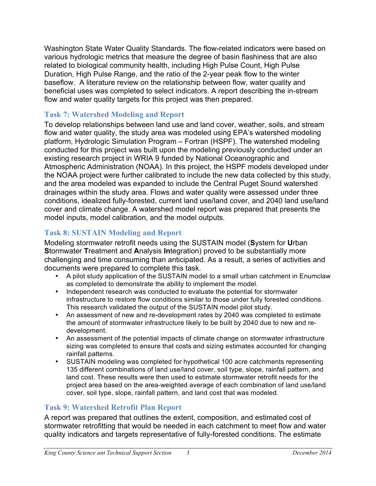Washington State Water Quality Standards. The flow-related indicators were based on various hydrologic metrics that measure the degree of basin flashiness that are also related to biological community health, including High Pulse Count, High Pulse Duration, High Pulse Range, and the ratio of the 2-year peak flow to the winter baseflow. A literature review on the relationship between flow, water quality and beneficial uses was completed to select indicators. A report describing the in-stream flow and water quality targets for this project was then prepared.

#### **Task 7: Watershed Modeling and Report**

To develop relationships between land use and land cover, weather, soils, and stream flow and water quality, the study area was modeled using EPA's watershed modeling platform, Hydrologic Simulation Program – Fortran (HSPF). The watershed modeling conducted for this project was built upon the modeling previously conducted under an existing research project in WRIA 9 funded by National Oceanographic and Atmospheric Administration (NOAA). In this project, the HSPF models developed under the NOAA project were further calibrated to include the new data collected by this study, and the area modeled was expanded to include the Central Puget Sound watershed drainages within the study area. Flows and water quality were assessed under three conditions, idealized fully-forested, current land use/land cover, and 2040 land use/land cover and climate change. A watershed model report was prepared that presents the model inputs, model calibration, and the model outputs.

#### **Task 8: SUSTAIN Modeling and Report**

Modeling stormwater retrofit needs using the SUSTAIN model (**S**ystem for **U**rban **S**tormwater **T**reatment and **A**nalysis **In**tegration) proved to be substantially more challenging and time consuming than anticipated. As a result, a series of activities and documents were prepared to complete this task.

- A pilot study application of the SUSTAIN model to a small urban catchment in Enumclaw as completed to demonstrate the ability to implement the model.
- Independent research was conducted to evaluate the potential for stormwater infrastructure to restore flow conditions similar to those under fully forested conditions. This research validated the output of the SUSTAIN model pilot study.
- An assessment of new and re-development rates by 2040 was completed to estimate the amount of stormwater infrastructure likely to be built by 2040 due to new and redevelopment.
- An assessment of the potential impacts of climate change on stormwater infrastructure sizing was completed to ensure that costs and sizing estimates accounted for changing rainfall patterns.
- SUSTAIN modeling was completed for hypothetical 100 acre catchments representing 135 different combinations of land use/land cover, soil type, slope, rainfall pattern, and land cost. These results were then used to estimate stormwater retrofit needs for the project area based on the area-weighted average of each combination of land use/land cover, soil type, slope, rainfall pattern, and land cost that was modeled.

### **Task 9: Watershed Retrofit Plan Report**

A report was prepared that outlines the extent, composition, and estimated cost of stormwater retrofitting that would be needed in each catchment to meet flow and water quality indicators and targets representative of fully-forested conditions. The estimate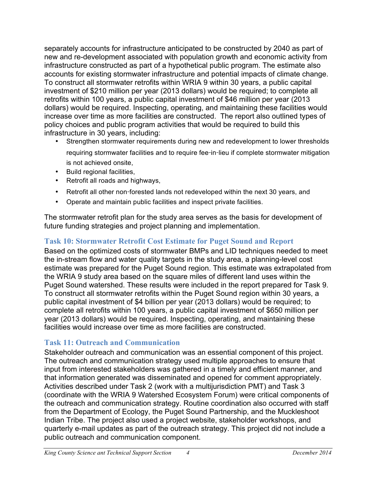separately accounts for infrastructure anticipated to be constructed by 2040 as part of new and re-development associated with population growth and economic activity from infrastructure constructed as part of a hypothetical public program. The estimate also accounts for existing stormwater infrastructure and potential impacts of climate change. To construct all stormwater retrofits within WRIA 9 within 30 years, a public capital investment of \$210 million per year (2013 dollars) would be required; to complete all retrofits within 100 years, a public capital investment of \$46 million per year (2013 dollars) would be required. Inspecting, operating, and maintaining these facilities would increase over time as more facilities are constructed. The report also outlined types of policy choices and public program activities that would be required to build this infrastructure in 30 years, including:

- Strengthen stormwater requirements during new and redevelopment to lower thresholds requiring stormwater facilities and to require fee-in-lieu if complete stormwater mitigation is not achieved onsite,
- Build regional facilities,
- Retrofit all roads and highways,
- Retrofit all other non-forested lands not redeveloped within the next 30 years, and
- Operate and maintain public facilities and inspect private facilities.

The stormwater retrofit plan for the study area serves as the basis for development of future funding strategies and project planning and implementation.

### **Task 10: Stormwater Retrofit Cost Estimate for Puget Sound and Report**

Based on the optimized costs of stormwater BMPs and LID techniques needed to meet the in-stream flow and water quality targets in the study area, a planning-level cost estimate was prepared for the Puget Sound region. This estimate was extrapolated from the WRIA 9 study area based on the square miles of different land uses within the Puget Sound watershed. These results were included in the report prepared for Task 9. To construct all stormwater retrofits within the Puget Sound region within 30 years, a public capital investment of \$4 billion per year (2013 dollars) would be required; to complete all retrofits within 100 years, a public capital investment of \$650 million per year (2013 dollars) would be required. Inspecting, operating, and maintaining these facilities would increase over time as more facilities are constructed.

#### **Task 11: Outreach and Communication**

Stakeholder outreach and communication was an essential component of this project. The outreach and communication strategy used multiple approaches to ensure that input from interested stakeholders was gathered in a timely and efficient manner, and that information generated was disseminated and opened for comment appropriately. Activities described under Task 2 (work with a multijurisdiction PMT) and Task 3 (coordinate with the WRIA 9 Watershed Ecosystem Forum) were critical components of the outreach and communication strategy. Routine coordination also occurred with staff from the Department of Ecology, the Puget Sound Partnership, and the Muckleshoot Indian Tribe. The project also used a project website, stakeholder workshops, and quarterly e-mail updates as part of the outreach strategy. This project did not include a public outreach and communication component.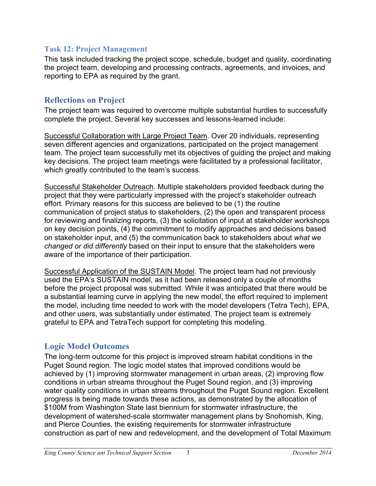#### **Task 12: Project Management**

This task included tracking the project scope, schedule, budget and quality, coordinating the project team, developing and processing contracts, agreements, and invoices, and reporting to EPA as required by the grant.

#### **Reflections on Project**

The project team was required to overcome multiple substantial hurdles to successfully complete the project. Several key successes and lessons-learned include:

Successful Collaboration with Large Project Team. Over 20 individuals, representing seven different agencies and organizations, participated on the project management team. The project team successfully met its objectives of guiding the project and making key decisions. The project team meetings were facilitated by a professional facilitator, which greatly contributed to the team's success.

Successful Stakeholder Outreach. Multiple stakeholders provided feedback during the project that they were particularly impressed with the project's stakeholder outreach effort. Primary reasons for this success are believed to be (1) the routine communication of project status to stakeholders, (2) the open and transparent process for reviewing and finalizing reports, (3) the solicitation of input at stakeholder workshops on key decision points, (4) the commitment to modify approaches and decisions based on stakeholder input, and (5) the communication back to stakeholders about *what we changed or did differently* based on their input to ensure that the stakeholders were aware of the importance of their participation.

Successful Application of the SUSTAIN Model. The project team had not previously used the EPA's SUSTAIN model, as it had been released only a couple of months before the project proposal was submitted. While it was anticipated that there would be a substantial learning curve in applying the new model, the effort required to implement the model, including time needed to work with the model developers (Tetra Tech), EPA, and other users, was substantially under estimated. The project team is extremely grateful to EPA and TetraTech support for completing this modeling.

### **Logic Model Outcomes**

The long-term outcome for this project is improved stream habitat conditions in the Puget Sound region. The logic model states that improved conditions would be achieved by (1) improving stormwater management in urban areas, (2) improving flow conditions in urban streams throughout the Puget Sound region, and (3) improving water quality conditions in urban streams throughout the Puget Sound region. Excellent progress is being made towards these actions, as demonstrated by the allocation of \$100M from Washington State last biennium for stormwater infrastructure, the development of watershed-scale stormwater management plans by Snohomish, King, and Pierce Counties, the existing requirements for stormwater infrastructure construction as part of new and redevelopment, and the development of Total Maximum